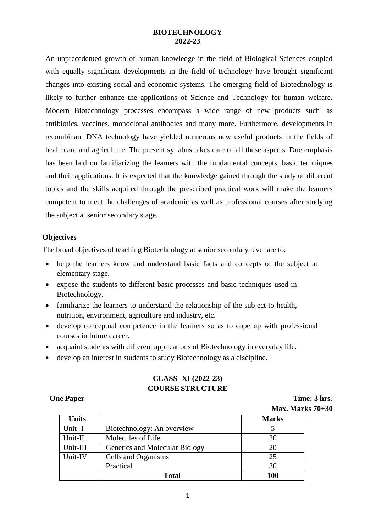### **BIOTECHNOLOGY 2022-23**

An unprecedented growth of human knowledge in the field of Biological Sciences coupled with equally significant developments in the field of technology have brought significant changes into existing social and economic systems. The emerging field of Biotechnology is likely to further enhance the applications of Science and Technology for human welfare. Modern Biotechnology processes encompass a wide range of new products such as antibiotics, vaccines, monoclonal antibodies and many more. Furthermore, developments in recombinant DNA technology have yielded numerous new useful products in the fields of healthcare and agriculture. The present syllabus takes care of all these aspects. Due emphasis has been laid on familiarizing the learners with the fundamental concepts, basic techniques and their applications. It is expected that the knowledge gained through the study of different topics and the skills acquired through the prescribed practical work will make the learners competent to meet the challenges of academic as well as professional courses after studying the subject at senior secondary stage.

### **Objectives**

The broad objectives of teaching Biotechnology at senior secondary level are to:

- help the learners know and understand basic facts and concepts of the subject at elementary stage.
- expose the students to different basic processes and basic techniques used in Biotechnology.
- familiarize the learners to understand the relationship of the subject to health, nutrition, environment, agriculture and industry, etc.
- develop conceptual competence in the learners so as to cope up with professional courses in future career.
- acquaint students with different applications of Biotechnology in everyday life.
- develop an interest in students to study Biotechnology as a discipline.

# **CLASS- XI (2022-23) COURSE STRUCTURE**

**One Paper Time: 3 hrs. Max. Marks 70+30**

|              | 17 <b>101231 171011</b>        |              |
|--------------|--------------------------------|--------------|
| <b>Units</b> |                                | <b>Marks</b> |
| Unit-I       | Biotechnology: An overview     |              |
| Unit-II      | Molecules of Life              | 20           |
| Unit-III     | Genetics and Molecular Biology | 20           |
| Unit-IV      | Cells and Organisms            | 25           |
|              | Practical                      | 30           |
|              | <b>Total</b>                   | 100          |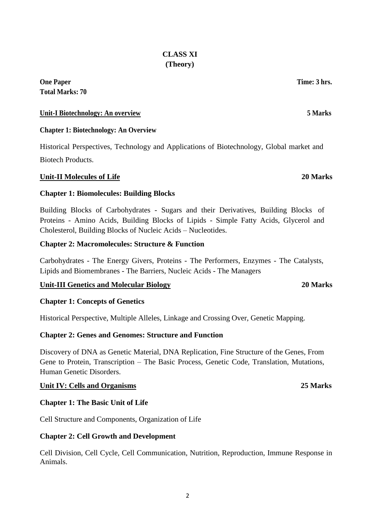# **CLASS XI (Theory)**

# **One Paper Time: 3 hrs. Total Marks: 70**

# **Unit-I Biotechnology: An overview 5 Marks**

# **Chapter 1: Biotechnology: An Overview**

Historical Perspectives, Technology and Applications of Biotechnology, Global market and Biotech Products.

# **Unit-II Molecules of Life 20 Marks**

# **Chapter 1: Biomolecules: Building Blocks**

Building Blocks of Carbohydrates - Sugars and their Derivatives, Building Blocks of Proteins - Amino Acids, Building Blocks of Lipids - Simple Fatty Acids, Glycerol and Cholesterol, Building Blocks of Nucleic Acids – Nucleotides.

# **Chapter 2: Macromolecules: Structure & Function**

Carbohydrates - The Energy Givers, Proteins - The Performers, Enzymes - The Catalysts, Lipids and Biomembranes - The Barriers, Nucleic Acids - The Managers

# **Unit-III Genetics and Molecular Biology 20 Marks**

# **Chapter 1: Concepts of Genetics**

Historical Perspective, Multiple Alleles, Linkage and Crossing Over, Genetic Mapping.

# **Chapter 2: Genes and Genomes: Structure and Function**

Discovery of DNA as Genetic Material, DNA Replication, Fine Structure of the Genes, From Gene to Protein, Transcription – The Basic Process, Genetic Code, Translation, Mutations, Human Genetic Disorders.

# **Unit IV: Cells and Organisms 25 Marks**

# **Chapter 1: The Basic Unit of Life**

Cell Structure and Components, Organization of Life

# **Chapter 2: Cell Growth and Development**

Cell Division, Cell Cycle, Cell Communication, Nutrition, Reproduction, Immune Response in Animals.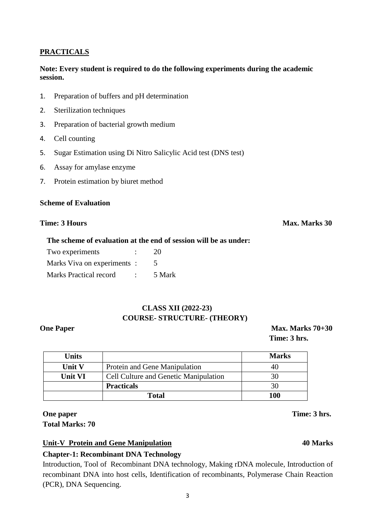# **PRACTICALS**

### **Note: Every student is required to do the following experiments during the academic session.**

- 1. Preparation of buffers and pH determination
- 2. Sterilization techniques
- 3. Preparation of bacterial growth medium
- 4. Cell counting
- 5. Sugar Estimation using Di Nitro Salicylic Acid test (DNS test)
- 6. Assay for amylase enzyme
- 7. Protein estimation by biuret method

### **Scheme of Evaluation**

### **Time: 3 Hours Max. Marks 30**

### **The scheme of evaluation at the end of session will be as under:**

| Two experiments               | 20     |
|-------------------------------|--------|
| Marks Viva on experiments:    |        |
| <b>Marks Practical record</b> | 5 Mark |

# **CLASS XII (2022-23) COURSE- STRUCTURE- (THEORY)**

**One Paper Max. Marks 70+30 Time: 3 hrs.**

| Units         |                                              | <b>Marks</b> |
|---------------|----------------------------------------------|--------------|
| <b>Unit V</b> | Protein and Gene Manipulation                |              |
| Unit VI       | <b>Cell Culture and Genetic Manipulation</b> | 30           |
|               | <b>Practicals</b>                            | 30           |
|               | Total                                        | 100          |

# **One paper Time: 3 hrs. Total Marks: 70**

# **Unit-V Protein and Gene Manipulation 40 Marks**

# **Chapter-1: Recombinant DNA Technology**

Introduction, Tool of Recombinant DNA technology, Making rDNA molecule, Introduction of recombinant DNA into host cells, Identification of recombinants, Polymerase Chain Reaction (PCR), DNA Sequencing.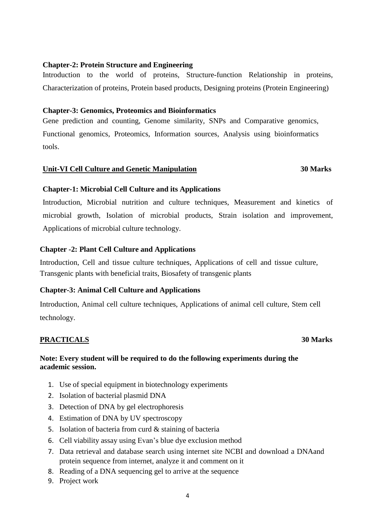### **Chapter-2: Protein Structure and Engineering**

Introduction to the world of proteins, Structure-function Relationship in proteins, Characterization of proteins, Protein based products, Designing proteins (Protein Engineering)

### **Chapter-3: Genomics, Proteomics and Bioinformatics**

Gene prediction and counting, Genome similarity, SNPs and Comparative genomics, Functional genomics, Proteomics, Information sources, Analysis using bioinformatics tools.

### **Unit-VI Cell Culture and Genetic Manipulation 30 Marks**

# **Chapter-1: Microbial Cell Culture and its Applications**

Introduction, Microbial nutrition and culture techniques, Measurement and kinetics of microbial growth, Isolation of microbial products, Strain isolation and improvement, Applications of microbial culture technology.

### **Chapter -2: Plant Cell Culture and Applications**

Introduction, Cell and tissue culture techniques, Applications of cell and tissue culture, Transgenic plants with beneficial traits, Biosafety of transgenic plants

# **Chapter-3: Animal Cell Culture and Applications**

Introduction, Animal cell culture techniques, Applications of animal cell culture, Stem cell technology.

# **PRACTICALS 30 Marks**

### **Note: Every student will be required to do the following experiments during the academic session.**

- 1. Use of special equipment in biotechnology experiments
- 2. Isolation of bacterial plasmid DNA
- 3. Detection of DNA by gel electrophoresis
- 4. Estimation of DNA by UV spectroscopy
- 5. Isolation of bacteria from curd & staining of bacteria
- 6. Cell viability assay using Evan's blue dye exclusion method
- 7. Data retrieval and database search using internet site NCBI and download a DNAand protein sequence from internet, analyze it and comment on it
- 8. Reading of a DNA sequencing gel to arrive at the sequence
- 9. Project work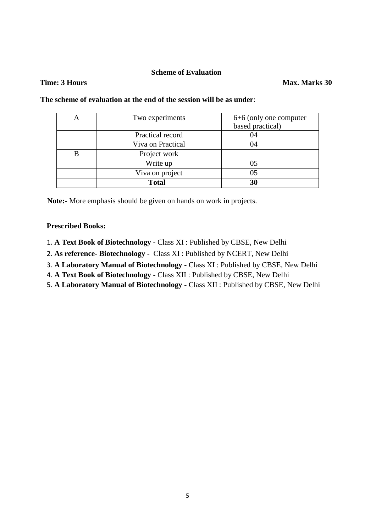### **Scheme of Evaluation**

### **Time: 3 Hours Max. Marks 30**

| Two experiments   | 6+6 (only one computer |
|-------------------|------------------------|
|                   | based practical)       |
| Practical record  | 04                     |
| Viva on Practical | 04                     |
| Project work      |                        |
| Write up          | 05                     |
| Viva on project   | 05                     |
| <b>Total</b>      | 30                     |

**The scheme of evaluation at the end of the session will be as under**:

**Note:-** More emphasis should be given on hands on work in projects.

### **Prescribed Books:**

- 1. **A Text Book of Biotechnology -** Class XI : Published by CBSE, New Delhi
- 2. **As reference- Biotechnology -** Class XI : Published by NCERT, New Delhi
- 3. **A Laboratory Manual of Biotechnology -** Class XI : Published by CBSE, New Delhi
- 4. **A Text Book of Biotechnology -** Class XII : Published by CBSE, New Delhi
- 5. **A Laboratory Manual of Biotechnology -** Class XII : Published by CBSE, New Delhi